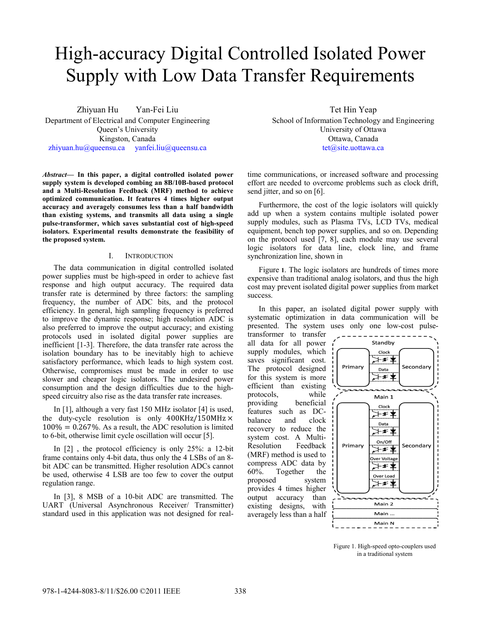# High-accuracy Digital Controlled Isolated Power Supply with Low Data Transfer Requirements

Zhiyuan Hu Yan-Fei Liu Department of Electrical and Computer Engineering Queen's University Kingston, Canada zhiyuan.hu@queensu.ca yanfei.liu@queensu.ca

Abstract— In this paper, a digital controlled isolated power supply system is developed combing an 8B/10B-based protocol **and a Multi-Resolution Feedback (MRF) m method to achieve optimized communication. It features 4 tim mes higher output accuracy and averagely consumes less than a half bandwidth**  than existing systems, and transmits all data using a single **pulse-transformer, which saves substantial c cost of high-speed isolators. Experimental results demonstrate the feasibility of the proposed system.** 

## I. INTRODUCTION

The data communication in digital controlled isolated power supplies must be high-speed in order to achieve fast response and high output accuracy. Th he required data transfer rate is determined by three factors: the sampling frequency, the number of ADC bits, and the protocol efficiency. In general, high sampling frequ ency is preferred to improve the dynamic response; high resolution ADC is also preferred to improve the output accuracy; and existing protocols used in isolated digital power supplies are inefficient [1-3]. Therefore, the data transfer rate across the isolation boundary has to be inevitably high to achieve satisfactory performance, which leads to high system cost. Otherwise, compromises must be made in order to use slower and cheaper logic isolators. The u undesired power consumption and the design difficulties due to the highspeed circuitry also rise as the data transfer rate increases.

In  $[1]$ , although a very fast 150 MHz isolator  $[4]$  is used, the duty-cycle resolution is only  $400KHz/150MHz \times$  $100\% = 0.267\%$ . As a result, the ADC resolution is limited to 6-bit, otherwise limit cycle oscillation will occur [5].

In  $[2]$ , the protocol efficiency is only 25%: a 12-bit frame contains only 4-bit data, thus only the 4 LSBs of an 8bit ADC can be transmitted. Higher resolution ADCs cannot be used, otherwise 4 LSB are too few to cover the output regulation range.

In [3], 8 MSB of a 10-bit ADC are transmitted. The UART (Universal Asynchronous Receiver/ Transmitter) standard used in this application was not d designed for realTet Hin Y Yeap

School of Information Technology and Engineering University o f Ottawa Ottawa, C Canada tet@site.uottawa.ca

time communications, or increased software and processing effort are needed to overcome problems such as clock drift, send jitter, and so on [6].

Furthermore, the cost of the logic isolators will quickly add up when a system contains multiple isolated power supply modules, such as Plasma TVs, LCD TVs, medical equipment, bench top power supplies, and so on. Depending on the protocol used [7, 8], each module may use several logic isolators for data line, clock line, and frame synchronization line, shown in

Figure 1. The logic isolators are hundreds of times more expensive than traditional analog isolators, and thus the high cost may prevent isolated digital power supplies from market success.

In this paper, an isolated digital power supply with systematic optimization in data communication will be presented. The system uses only one low-cost pulse-

transformer to transfer all data for all power supply modules, which saves significant cost. The protocol designed for this system is more efficient than existing protocols, while providing beneficial features such as DCbalance and clock recovery to reduce the system cost. A Multi-Resolution Feedback (MRF) method is used to compress ADC data by 60%. Together the proposed system provides 4 times higher output accuracy than existing designs, with averagely less than a half



Figure 1. H High-speed opto-couplers used in n a traditional system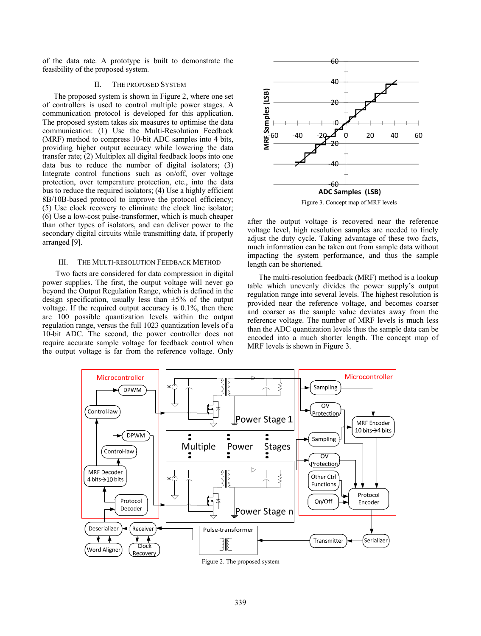of the data rate. A prototype is built to demonstrate the feasibility of the proposed system.

# II. THE PROPOSED SYSTEM

The proposed system is shown in Figure 2, where one set of controllers is used to control multiple power stages. A communication protocol is developed for this application. The proposed system takes six measures to optimise the data communication: (1) Use the Multi-Resolution Feedback (MRF) method to compress 10-bit ADC samples into 4 bits, providing higher output accuracy while lowering the data transfer rate; (2) Multiplex all digital feedback loops into one data bus to reduce the number of digital isolators; (3) Integrate control functions such as on/off, over voltage protection, over temperature protection, etc., into the data bus to reduce the required isolators; (4) Use a highly efficient 8B/10B-based protocol to improve the protocol efficiency; (5) Use clock recovery to eliminate the clock line isolator; (6) Use a low-cost pulse-transformer, which is much cheaper than other types of isolators, and can deliver power to the secondary digital circuits while transmitting data, if properly arranged [9].

# III. THE MULTI-RESOLUTION FEEDBACK METHOD

 Two facts are considered for data compression in digital power supplies. The first, the output voltage will never go beyond the Output Regulation Range, which is defined in the design specification, usually less than  $\pm 5\%$  of the output voltage. If the required output accuracy is 0.1%, then there are 100 possible quantization levels within the output regulation range, versus the full 1023 quantization levels of a 10-bit ADC. The second, the power controller does not require accurate sample voltage for feedback control when the output voltage is far from the reference voltage. Only



Figure 3. Concept map of MRF levels

after the output voltage is recovered near the reference voltage level, high resolution samples are needed to finely adjust the duty cycle. Taking advantage of these two facts, much information can be taken out from sample data without impacting the system performance, and thus the sample length can be shortened.

The multi-resolution feedback (MRF) method is a lookup table which unevenly divides the power supply's output regulation range into several levels. The highest resolution is provided near the reference voltage, and becomes coarser and coarser as the sample value deviates away from the reference voltage. The number of MRF levels is much less than the ADC quantization levels thus the sample data can be encoded into a much shorter length. The concept map of MRF levels is shown in Figure 3.



Figure 2. The proposed system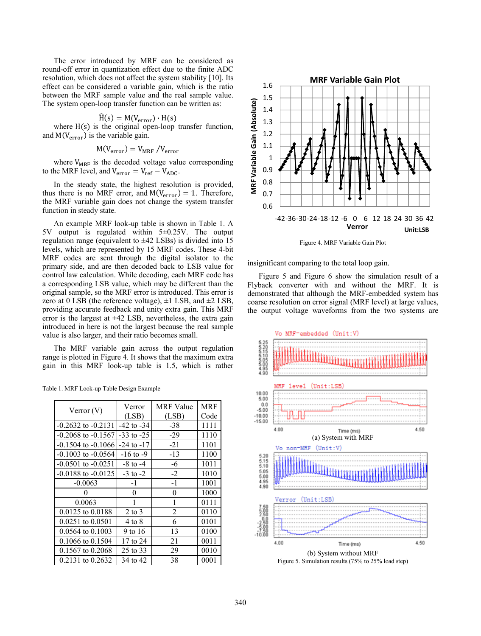The error introduced by MRF can be considered as round-off error in quantization effect due to the finite ADC resolution, which does not affect the system stability [10]. Its effect can be considered a variable gain, which is the ratio between the MRF sample value and the real sample value. The system open-loop transfer function can be written as:

$$
\widehat{H}(s) = M(V_{error}) \cdot H(s)
$$

where  $H(s)$  is the original open-loop transfer function, and  $M(V_{\text{error}})$  is the variable gain.

$$
M(V_{error}) = V_{MRF} / V_{error}
$$

where  $V_{MRF}$  is the decoded voltage value corresponding to the MRF level, and  $V_{\text{error}} = V_{\text{ref}} - V_{\text{ADC}}$ .

In the steady state, the highest resolution is provided, thus there is no MRF error, and  $M(V_{error}) = 1$ . Therefore, the MRF variable gain does not change the system transfer function in steady state.

An example MRF look-up table is shown in Table 1. A 5V output is regulated within 5±0.25V. The output regulation range (equivalent to  $\pm 42$  LSBs) is divided into 15 levels, which are represented by 15 MRF codes. These 4-bit MRF codes are sent through the digital isolator to the primary side, and are then decoded back to LSB value for control law calculation. While decoding, each MRF code has a corresponding LSB value, which may be different than the original sample, so the MRF error is introduced. This error is zero at 0 LSB (the reference voltage),  $\pm 1$  LSB, and  $\pm 2$  LSB, providing accurate feedback and unity extra gain. This MRF error is the largest at  $\pm 42$  LSB, nevertheless, the extra gain introduced in here is not the largest because the real sample value is also larger, and their ratio becomes small.

The MRF variable gain across the output regulation range is plotted in Figure 4. It shows that the maximum extra gain in this MRF look-up table is 1.5, which is rather

| Verror $(V)$           | Verror         | <b>MRF</b> Value | MRF  |
|------------------------|----------------|------------------|------|
|                        | (LSB)          | (LSB)            | Code |
| $-0.2632$ to $-0.2131$ | $-42$ to $-34$ | $-38$            | 1111 |
| $-0.2068$ to $-0.1567$ | $-33$ to $-25$ | $-29$            | 1110 |
| $-0.1504$ to $-0.1066$ | $-24$ to $-17$ | $-21$            | 1101 |
| $-0.1003$ to $-0.0564$ | $-16$ to $-9$  | $-13$            | 1100 |
| $-0.0501$ to $-0.0251$ | $-8$ to $-4$   | -6               | 1011 |
| $-0.0188$ to $-0.0125$ | $-3$ to $-2$   | $-2$             | 1010 |
| $-0.0063$              | $-1$           | $-1$             | 1001 |
| 0                      | $\theta$       | $\theta$         | 1000 |
| 0.0063                 | 1              | 1                | 0111 |
| $0.0125$ to $0.0188$   | 2 to 3         | $\overline{2}$   | 0110 |
| $0.0251$ to $0.0501$   | 4 to 8         | 6                | 0101 |
| $0.0564$ to $0.1003$   | 9 to 16        | 13               | 0100 |
| $0.1066$ to $0.1504$   | 17 to 24       | 21               | 0011 |
| $0.1567$ to $0.2068$   | 25 to 33       | 29               | 0010 |
| $0.2131$ to $0.2632$   | 34 to 42       | 38               | 0001 |

Table 1. MRF Look-up Table Design Example



Figure 4. MRF Variable Gain Plot

insignificant comparing to the total loop gain.

Figure 5 and Figure 6 show the simulation result of a Flyback converter with and without the MRF. It is demonstrated that although the MRF-embedded system has coarse resolution on error signal (MRF level) at large values, the output voltage waveforms from the two systems are



Figure 5. Simulation results (75% to 25% load step)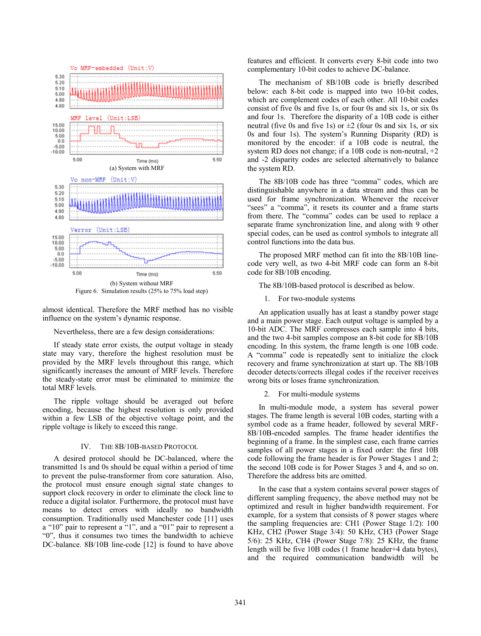

almost identical. Therefore the MRF method has no visible influence on the system's dynamic response.

#### Nevertheless, there are a few design considerations:

If steady state error exists, the output voltage in steady state may vary, therefore the highest resolution must be provided by the MRF levels throughout this range, which significantly increases the amount of MRF levels. Therefore the steady-state error must be eliminated to minimize the total MRF levels.

The ripple voltage should be averaged out before encoding, because the highest resolution is only provided within a few LSB of the objective voltage point, and the ripple voltage is likely to exceed this range.

## IV. THE 8B/10B-BASED PROTOCOL

A desired protocol should be DC-balanced, where the transmitted 1s and 0s should be equal within a period of time to prevent the pulse-transformer from core saturation. Also, the protocol must ensure enough signal state changes to support clock recovery in order to eliminate the clock line to reduce a digital isolator. Furthermore, the protocol must have means to detect errors with ideally no bandwidth consumption. Traditionally used Manchester code [11] uses a "10" pair to represent a "1", and a "01" pair to represent a "0", thus it consumes two times the bandwidth to achieve DC-balance. 8B/10B line-code [12] is found to have above features and efficient. It converts every 8-bit code into two complementary 10-bit codes to achieve DC-balance.

The mechanism of 8B/10B code is briefly described below: each 8-bit code is mapped into two 10-bit codes, which are complement codes of each other. All 10-bit codes consist of five 0s and five 1s, or four 0s and six 1s, or six 0s and four 1s. Therefore the disparity of a 10B code is either neutral (five 0s and five 1s) or  $\pm 2$  (four 0s and six 1s, or six 0s and four 1s). The system's Running Disparity (RD) is monitored by the encoder: if a 10B code is neutral, the system RD does not change; if a 10B code is non-neutral, +2 and -2 disparity codes are selected alternatively to balance the system RD.

The 8B/10B code has three "comma" codes, which are distinguishable anywhere in a data stream and thus can be used for frame synchronization. Whenever the receiver "sees" a "comma", it resets its counter and a frame starts from there. The "comma" codes can be used to replace a separate frame synchronization line, and along with 9 other special codes, can be used as control symbols to integrate all control functions into the data bus.

The proposed MRF method can fit into the 8B/10B linecode very well, as two 4-bit MRF code can form an 8-bit code for 8B/10B encoding.

The 8B/10B-based protocol is described as below.

1. For two-module systems

An application usually has at least a standby power stage and a main power stage. Each output voltage is sampled by a 10-bit ADC. The MRF compresses each sample into 4 bits, and the two 4-bit samples compose an 8-bit code for 8B/10B encoding. In this system, the frame length is one 10B code. A "comma" code is repeatedly sent to initialize the clock recovery and frame synchronization at start up. The 8B/10B decoder detects/corrects illegal codes if the receiver receives wrong bits or loses frame synchronization.

2. For multi-module systems

In multi-module mode, a system has several power stages. The frame length is several 10B codes, starting with a symbol code as a frame header, followed by several MRF-8B/10B-encoded samples. The frame header identifies the beginning of a frame. In the simplest case, each frame carries samples of all power stages in a fixed order: the first 10B code following the frame header is for Power Stages 1 and 2; the second 10B code is for Power Stages 3 and 4, and so on. Therefore the address bits are omitted.

In the case that a system contains several power stages of different sampling frequency, the above method may not be optimized and result in higher bandwidth requirement. For example, for a system that consists of 8 power stages where the sampling frequencies are: CH1 (Power Stage 1/2): 100 KHz, CH2 (Power Stage 3/4): 50 KHz, CH3 (Power Stage 5/6): 25 KHz, CH4 (Power Stage 7/8): 25 KHz, the frame length will be five 10B codes (1 frame header+4 data bytes), and the required communication bandwidth will be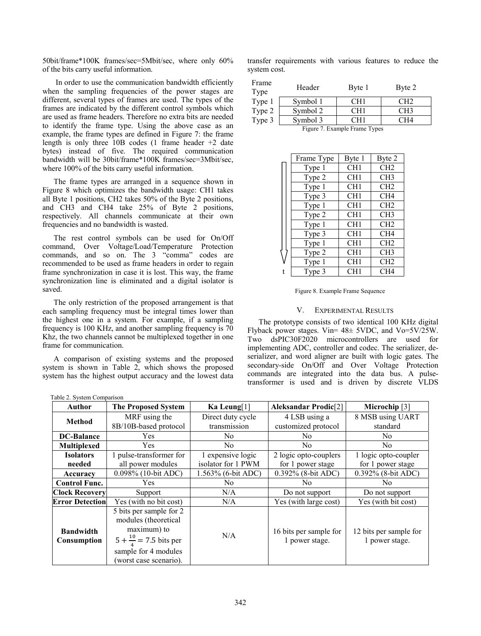50bit/frame\*100K frames/sec=5Mbit/sec, where only 60% of the bits carry useful information.

 In order to use the communication bandwidth efficiently when the sampling frequencies of the power stages are different, several types of frames are used. The types of the frames are indicated by the different control symbols which are used as frame headers. Therefore no extra bits are needed to identify the frame type. Using the above case as an example, the frame types are defined in Figure 7: the frame length is only three 10B codes (1 frame header +2 date bytes) instead of five. The required communication bandwidth will be 30bit/frame\*100K frames/sec=3Mbit/sec, where 100% of the bits carry useful information.

The frame types are arranged in a sequence shown in Figure 8 which optimizes the bandwidth usage: CH1 takes all Byte 1 positions, CH2 takes 50% of the Byte 2 positions, and CH3 and CH4 take 25% of Byte 2 positions, respectively. All channels communicate at their own frequencies and no bandwidth is wasted.

The rest control symbols can be used for On/Off command, Over Voltage/Load/Temperature Protection commands, and so on. The 3 "comma" codes are recommended to be used as frame headers in order to regain frame synchronization in case it is lost. This way, the frame synchronization line is eliminated and a digital isolator is saved.

The only restriction of the proposed arrangement is that each sampling frequency must be integral times lower than the highest one in a system. For example, if a sampling frequency is 100 KHz, and another sampling frequency is 70 Khz, the two channels cannot be multiplexed together in one frame for communication.

A comparison of existing systems and the proposed system is shown in Table 2, which shows the proposed system has the highest output accuracy and the lowest data

|              | transfer requirements with various features to reduce the |  |  |  |
|--------------|-----------------------------------------------------------|--|--|--|
| system cost. |                                                           |  |  |  |

| Frame<br>Type                 | Header   | Byte 1          | Byte 2          |  |  |
|-------------------------------|----------|-----------------|-----------------|--|--|
| Type 1                        | Symbol 1 | CH <sub>1</sub> | CH <sub>2</sub> |  |  |
| Type 2                        | Symbol 2 | CH1             | CH <sub>3</sub> |  |  |
| Type 3                        | Symbol 3 | CH1             | CH4             |  |  |
| Figure 7. Example Frame Types |          |                 |                 |  |  |

| Frame Type | Byte 1          | Byte 2          |
|------------|-----------------|-----------------|
| Type 1     | CH1             | CH <sub>2</sub> |
| Type 2     | CH <sub>1</sub> | CH3             |
| Type 1     | CH <sub>1</sub> | CH2             |
| Type 3     | CH <sub>1</sub> | CH <sub>4</sub> |
| Type 1     | CH <sub>1</sub> | CH2             |
| Type 2     | CH <sub>1</sub> | CH <sub>3</sub> |
| Type 1     | CH <sub>1</sub> | CH2             |
| Type 3     | CH <sub>1</sub> | CH <sub>4</sub> |
| Type 1     | CH1             | CH <sub>2</sub> |
| Type 2     | CH <sub>1</sub> | CH <sub>3</sub> |
| Type 1     | CH <sub>1</sub> | CH <sub>2</sub> |
| Type 3     | CH <sub>1</sub> | CH <sub>4</sub> |

Figure 8. Example Frame Sequence

# V. EXPERIMENTAL RESULTS

The prototype consists of two identical 100 KHz digital Flyback power stages. Vin= 48± 5VDC, and Vo=5V/25W. Two dsPIC30F2020 microcontrollers are used for implementing ADC, controller and codec. The serializer, deserializer, and word aligner are built with logic gates. The secondary-side On/Off and Over Voltage Protection commands are integrated into the data bus. A pulsetransformer is used and is driven by discrete VLDS

| Table 2. System Comparison |                                     |                    |                             |                        |
|----------------------------|-------------------------------------|--------------------|-----------------------------|------------------------|
| Author                     | <b>The Proposed System</b>          | Ka Leung[1]        | <b>Aleksandar Prodic[2]</b> | Microchip $[3]$        |
| <b>Method</b>              | MRF using the                       | Direct duty cycle  | 4 LSB using a               | 8 MSB using UART       |
|                            | 8B/10B-based protocol               | transmission       | customized protocol         | standard               |
| <b>DC-Balance</b>          | <b>Yes</b>                          | No.                | No.                         | No                     |
| <b>Multiplexed</b>         | <b>Yes</b>                          | No.                | N <sub>0</sub>              | N <sub>0</sub>         |
| <b>Isolators</b>           | 1 pulse-transformer for             | 1 expensive logic  | 2 logic opto-couplers       | 1 logic opto-coupler   |
| needed                     | all power modules                   | isolator for 1 PWM | for 1 power stage           | for 1 power stage      |
| Accuracy                   | 0.098% (10-bit ADC)                 | 1.563% (6-bit ADC) | 0.392% (8-bit ADC)          | 0.392% (8-bit ADC)     |
| <b>Control Func.</b>       | <b>Yes</b>                          | No                 | N <sub>0</sub>              | N <sub>0</sub>         |
| <b>Clock Recovery</b>      | Support                             | N/A                | Do not support              | Do not support         |
| <b>Error Detection</b>     | Yes (with no bit cost)              | N/A                | Yes (with large cost)       | Yes (with bit cost)    |
|                            | 5 bits per sample for 2             |                    |                             |                        |
| <b>Bandwidth</b>           | modules (theoretical<br>maximum) to |                    | 16 bits per sample for      | 12 bits per sample for |
| Consumption                | $5 + \frac{10}{4} = 7.5$ bits per   | N/A                | 1 power stage.              | 1 power stage.         |
|                            | sample for 4 modules                |                    |                             |                        |
|                            | (worst case scenario).              |                    |                             |                        |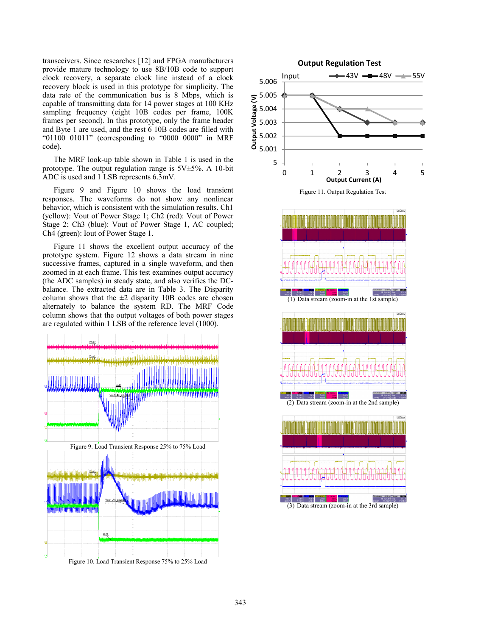transceivers. Since researches [12] and FPGA manufacturers provide mature technology to use 8B/10B code to support clock recovery, a separate clock line instead of a clock recovery block is used in this prototype for simplicity. The data rate of the communication bus is 8 Mbps, which is capable of transmitting data for 14 power stages at 100 KHz sampling frequency (eight 10B codes per frame, 100K frames per second). In this prototype, only the frame header and Byte 1 are used, and the rest 6 10B codes are filled with "01100 01011" (corresponding to "0000 0000" in MRF code).

The MRF look-up table shown in Table 1 is used in the prototype. The output regulation range is 5V±5%. A 10-bit ADC is used and 1 LSB represents 6.3mV.

Figure 9 and Figure 10 shows the load transient responses. The waveforms do not show any nonlinear behavior, which is consistent with the simulation results. Ch1 (yellow): Vout of Power Stage 1; Ch2 (red): Vout of Power Stage 2; Ch3 (blue): Vout of Power Stage 1, AC coupled; Ch4 (green): Iout of Power Stage 1.

Figure 11 shows the excellent output accuracy of the prototype system. Figure 12 shows a data stream in nine successive frames, captured in a single waveform, and then zoomed in at each frame. This test examines output accuracy (the ADC samples) in steady state, and also verifies the DCbalance. The extracted data are in Table 3. The Disparity column shows that the  $\pm 2$  disparity 10B codes are chosen alternately to balance the system RD. The MRF Code column shows that the output voltages of both power stages are regulated within 1 LSB of the reference level (1000).



Figure 10. Load Transient Response 75% to 25% Load

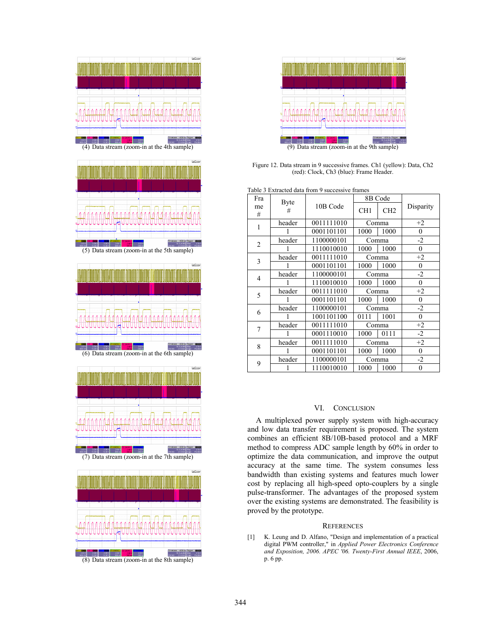



(5) Data stream (zoom-in at the 5th sample)









(8) Data stream (zoom-in at the 8th sample)



Figure 12. Data stream in 9 successive frames. Ch1 (yellow): Data, Ch2 (red): Clock, Ch3 (blue): Frame Header.

|  |  |  |  |  |  | Table 3 Extracted data from 9 successive frames |
|--|--|--|--|--|--|-------------------------------------------------|
|--|--|--|--|--|--|-------------------------------------------------|

| Fra     | <b>Byte</b> |            |       | 8B Code         |                |
|---------|-------------|------------|-------|-----------------|----------------|
| me<br># | #           | 10B Code   | CH1   | CH <sub>2</sub> | Disparity      |
| 1       | header      | 0011111010 | Comma |                 | $+2$           |
|         |             | 0001101101 | 1000  | 1000            | 0              |
| 2       | header      | 1100000101 | Comma |                 | $-2$           |
|         |             | 1110010010 | 1000  | 1000            | $\overline{0}$ |
| 3       | header      | 0011111010 |       | Comma           | $+2$           |
|         | 1           | 0001101101 | 1000  | 1000            | $\mathbf{0}$   |
| 4       | header      | 1100000101 | Comma |                 | $-2$           |
|         |             | 1110010010 | 1000  | 1000            | $\overline{0}$ |
| 5       | header      | 0011111010 |       | Comma           | $+2$           |
|         |             | 0001101101 | 1000  | 1000            | $\theta$       |
| 6       | header      | 1100000101 | Comma |                 | $-2$           |
|         |             | 1001101100 | 0111  | 1001            | 0              |
| 7       | header      | 0011111010 |       | Comma           | $+2$           |
|         |             | 0001110010 | 1000  | 0111            | $-2$           |
| 8       | header      | 0011111010 |       | Comma           | $+2$           |
|         |             | 0001101101 | 1000  | 1000            | 0              |
| 9       | header      | 1100000101 |       | Comma           | $-2$           |
|         |             | 1110010010 | 1000  | 1000            | 0              |

# VI. CONCLUSION

A multiplexed power supply system with high-accuracy and low data transfer requirement is proposed. The system combines an efficient 8B/10B-based protocol and a MRF method to compress ADC sample length by 60% in order to optimize the data communication, and improve the output accuracy at the same time. The system consumes less bandwidth than existing systems and features much lower cost by replacing all high-speed opto-couplers by a single pulse-transformer. The advantages of the proposed system over the existing systems are demonstrated. The feasibility is proved by the prototype.

## **REFERENCES**

[1] K. Leung and D. Alfano, "Design and implementation of a practical digital PWM controller," in *Applied Power Electronics Conference and Exposition, 2006. APEC '06. Twenty-First Annual IEEE*, 2006, p. 6 pp.